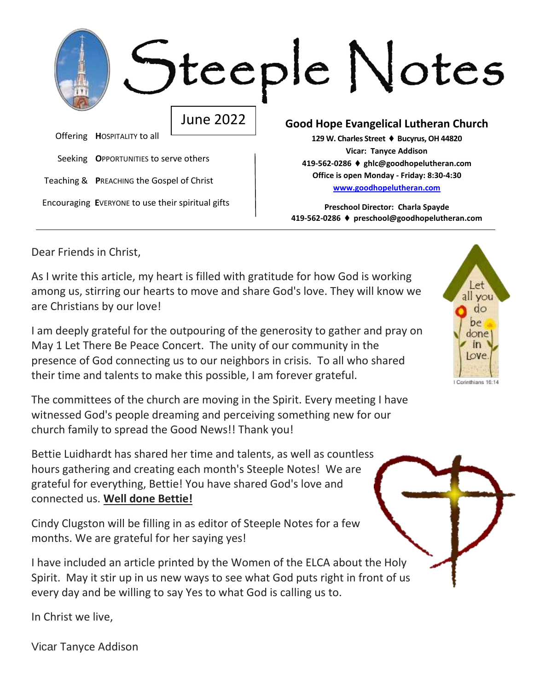|                                                   |                                       |                                                                                                                    | Iteeple Notes                                                                      |  |  |  |  |
|---------------------------------------------------|---------------------------------------|--------------------------------------------------------------------------------------------------------------------|------------------------------------------------------------------------------------|--|--|--|--|
|                                                   |                                       | <b>June 2022</b>                                                                                                   | <b>Good Hope Evangelical Lutheran Church</b>                                       |  |  |  |  |
|                                                   | Offering HOSPITALITY to all           |                                                                                                                    | 129 W. Charles Street ♦ Bucyrus, OH 44820                                          |  |  |  |  |
|                                                   | Seeking OPPORTUNITIES to serve others |                                                                                                                    | Vicar: Tanyce Addison<br>419-562-0286 ♦ ghlc@goodhopelutheran.com                  |  |  |  |  |
|                                                   |                                       | Office is open Monday - Friday: 8:30-4:30<br>Teaching & PREACHING the Gospel of Christ<br>www.goodhopelutheran.com |                                                                                    |  |  |  |  |
| Encouraging EVERYONE to use their spiritual gifts |                                       |                                                                                                                    | Preschool Director: Charla Spayde<br>419-562-0286 ♦ preschool@goodhopelutheran.com |  |  |  |  |

Dear Friends in Christ,

As I write this article, my heart is filled with gratitude for how God is working among us, stirring our hearts to move and share God's love. They will know we are Christians by our love!

I am deeply grateful for the outpouring of the generosity to gather and pray on May 1 Let There Be Peace Concert. The unity of our community in the presence of God connecting us to our neighbors in crisis. To all who shared their time and talents to make this possible, I am forever grateful.

The committees of the church are moving in the Spirit. Every meeting I have witnessed God's people dreaming and perceiving something new for our church family to spread the Good News!! Thank you!

Bettie Luidhardt has shared her time and talents, as well as countless hours gathering and creating each month's Steeple Notes! We are grateful for everything, Bettie! You have shared God's love and connected us. **Well done Bettie!**

Cindy Clugston will be filling in as editor of Steeple Notes for a few months. We are grateful for her saying yes!

I have included an article printed by the Women of the ELCA about the Holy Spirit. May it stir up in us new ways to see what God puts right in front of us every day and be willing to say Yes to what God is calling us to.

In Christ we live,

Vicar Tanyce Addison

all vou do ne done love Corinthians 16:1/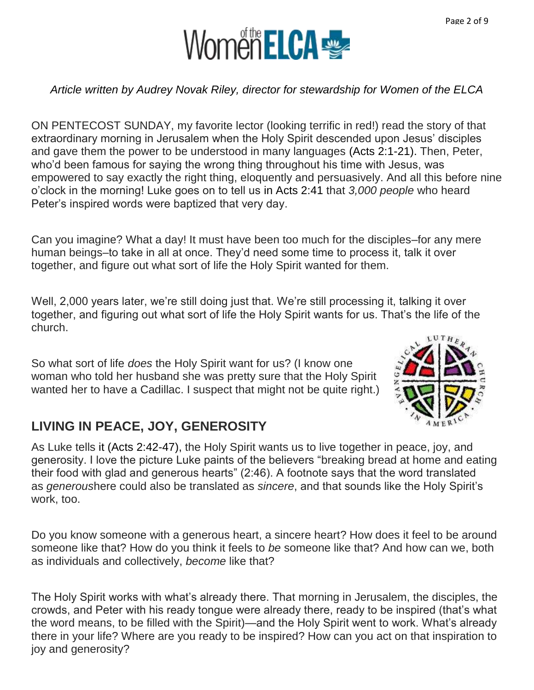

#### *Article written by Audrey Novak Riley, director for stewardship for Women of the ELCA*

ON PENTECOST SUNDAY, my favorite lector (looking terrific in red!) read the story of that extraordinary morning in Jerusalem when the Holy Spirit descended upon Jesus' disciples and gave them the power to be understood in many languages (Acts 2:1-21). Then, Peter, who'd been famous for saying the wrong thing throughout his time with Jesus, was empowered to say exactly the right thing, eloquently and persuasively. And all this before nine o'clock in the morning! Luke goes on to tell us in Acts 2:41 that *3,000 people* who heard Peter's inspired words were baptized that very day.

Can you imagine? What a day! It must have been too much for the disciples–for any mere human beings–to take in all at once. They'd need some time to process it, talk it over together, and figure out what sort of life the Holy Spirit wanted for them.

Well, 2,000 years later, we're still doing just that. We're still processing it, talking it over together, and figuring out what sort of life the Holy Spirit wants for us. That's the life of the church.

So what sort of life *does* the Holy Spirit want for us? (I know one woman who told her husband she was pretty sure that the Holy Spirit wanted her to have a Cadillac. I suspect that might not be quite right.)



### **LIVING IN PEACE, JOY, GENEROSITY**

As Luke tells it [\(Acts 2:42-47\)](https://www.biblegateway.com/passage/?search=Acts+2%3A42-47&version=NRSV), the Holy Spirit wants us to live together in peace, joy, and generosity. I love the picture Luke paints of the believers "breaking bread at home and eating their food with glad and generous hearts" (2:46). A footnote says that the word translated as *generous*here could also be translated as *sincere*, and that sounds like the Holy Spirit's work, too.

Do you know someone with a generous heart, a sincere heart? How does it feel to be around someone like that? How do you think it feels to *be* someone like that? And how can we, both as individuals and collectively, *become* like that?

The Holy Spirit works with what's already there. That morning in Jerusalem, the disciples, the crowds, and Peter with his ready tongue were already there, ready to be inspired (that's what the word means, to be filled with the Spirit)—and the Holy Spirit went to work. What's already there in your life? Where are you ready to be inspired? How can you act on that inspiration to joy and generosity?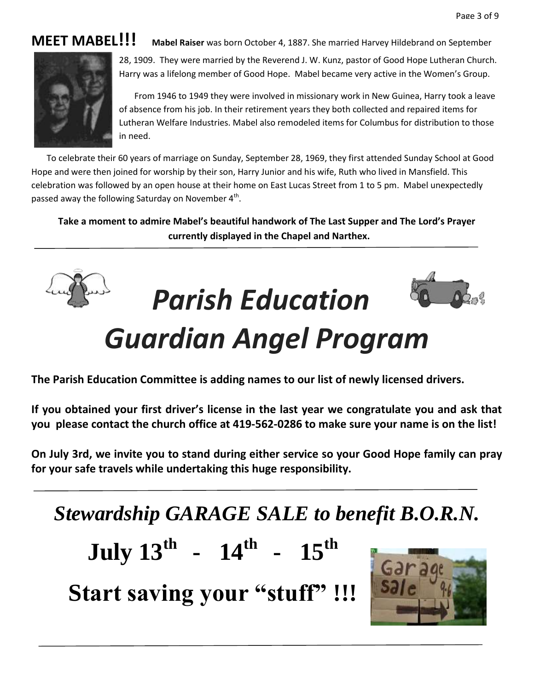### **MEET MABEL!!! Mabel Raiser** was born October 4, 1887. She married Harvey Hildebrand on September



28, 1909. They were married by the Reverend J. W. Kunz, pastor of Good Hope Lutheran Church. Harry was a lifelong member of Good Hope. Mabel became very active in the Women's Group.

 From 1946 to 1949 they were involved in missionary work in New Guinea, Harry took a leave of absence from his job. In their retirement years they both collected and repaired items for Lutheran Welfare Industries. Mabel also remodeled items for Columbus for distribution to those in need.

 To celebrate their 60 years of marriage on Sunday, September 28, 1969, they first attended Sunday School at Good Hope and were then joined for worship by their son, Harry Junior and his wife, Ruth who lived in Mansfield. This celebration was followed by an open house at their home on East Lucas Street from 1 to 5 pm. Mabel unexpectedly passed away the following Saturday on November  $4^{\text{th}}$ .

**Take a moment to admire Mabel's beautiful handwork of The Last Supper and The Lord's Prayer currently displayed in the Chapel and Narthex.**



```
Parish Education
```


# *Guardian Angel Program*

**The Parish Education Committee is adding names to our list of newly licensed drivers.** 

**If you obtained your first driver's license in the last year we congratulate you and ask that you please contact the church office at 419-562-0286 to make sure your name is on the list!**

**On July 3rd, we invite you to stand during either service so your Good Hope family can pray for your safe travels while undertaking this huge responsibility.**

*Stewardship GARAGE SALE to benefit B.O.R.N.* 



**Start saving your "stuff" !!!**

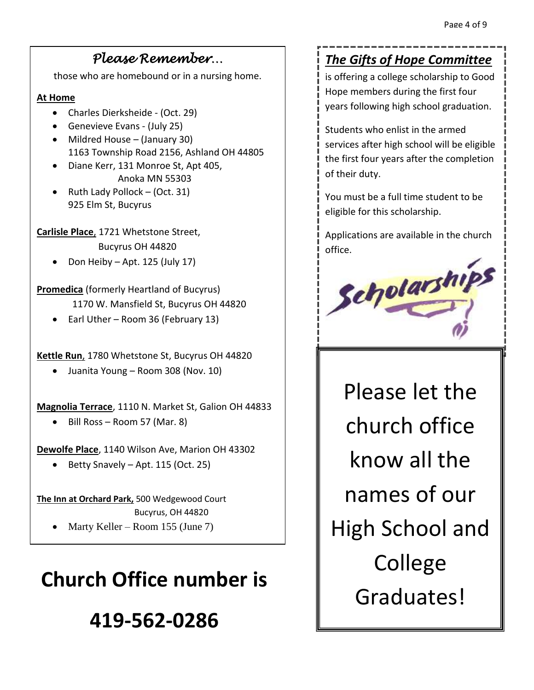### *Please Remember…*

those who are homebound or in a nursing home.

#### **At Home**

- Charles Dierksheide (Oct. 29)
- Genevieve Evans (July 25)
- Mildred House (January 30) 1163 Township Road 2156, Ashland OH 44805
- Diane Kerr, 131 Monroe St, Apt 405, Anoka MN 55303
- Ruth Lady Pollock  $(Oct. 31)$ 925 Elm St, Bucyrus

**Carlisle Place**, 1721 Whetstone Street,

Bucyrus OH 44820

Don Heiby – Apt. 125 (July 17)

**Promedica** (formerly Heartland of Bucyrus) 1170 W. Mansfield St, Bucyrus OH 44820

• Earl Uther – Room 36 (February 13)

**Kettle Run**, 1780 Whetstone St, Bucyrus OH 44820

Juanita Young – Room 308 (Nov. 10)

**Magnolia Terrace**, 1110 N. Market St, Galion OH 44833

Bill Ross – Room 57 (Mar. 8)

**Dewolfe Place**, 1140 Wilson Ave, Marion OH 43302

 $\bullet$  Betty Snavely – Apt. 115 (Oct. 25)

**The Inn at Orchard Park,** 500 Wedgewood Court Bucyrus, OH 44820

Marty Keller – Room 155 (June 7)

# **Church Office number is**

# **419-562-0286**

### *The Gifts of Hope Committee*

is offering a college scholarship to Good Hope members during the first four years following high school graduation.

Students who enlist in the armed services after high school will be eligible the first four years after the completion of their duty.

You must be a full time student to be eligible for this scholarship.

Applications are available in the church office.



Please let the church office know all the names of our High School and College Graduates!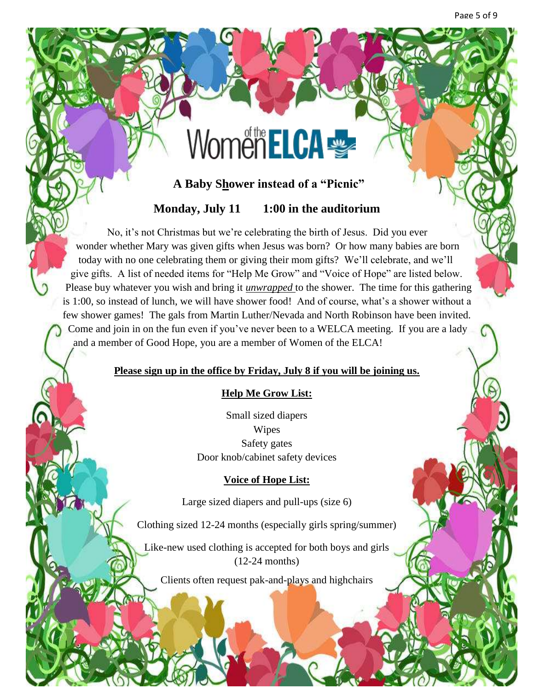# WomenELCA

#### **A Baby Shower instead of a "Picnic"**

#### **Monday, July 11 1:00 in the auditorium**

 No, it's not Christmas but we're celebrating the birth of Jesus. Did you ever wonder whether Mary was given gifts when Jesus was born? Or how many babies are born today with no one celebrating them or giving their mom gifts? We'll celebrate, and we'll give gifts. A list of needed items for "Help Me Grow" and "Voice of Hope" are listed below. Please buy whatever you wish and bring it *unwrapped* to the shower. The time for this gathering is 1:00, so instead of lunch, we will have shower food! And of course, what's a shower without a few shower games! The gals from Martin Luther/Nevada and North Robinson have been invited. Come and join in on the fun even if you've never been to a WELCA meeting. If you are a lady and a member of Good Hope, you are a member of Women of the ELCA!

#### **Please sign up in the office by Friday, July 8 if you will be joining us.**

#### **Help Me Grow List:**

Small sized diapers Wipes Safety gates Door knob/cabinet safety devices

#### **Voice of Hope List:**

Large sized diapers and pull-ups (size 6)

Clothing sized 12-24 months (especially girls spring/summer)

Like-new used clothing is accepted for both boys and girls (12-24 months)

Clients often request pak-and-plays and highchairs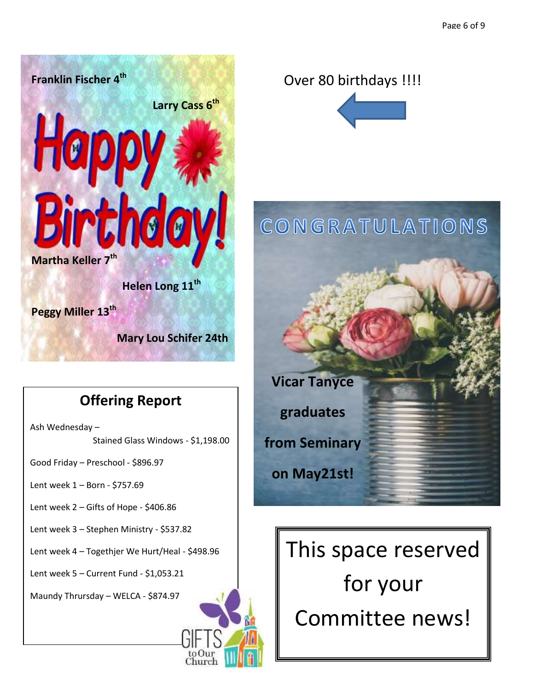

## **Offering Report**

Ash Wednesday – Stained Glass Windows - \$1,198.00

Good Friday – Preschool - \$896.97

- Lent week 1 Born \$757.69
- Lent week 2 Gifts of Hope \$406.86
- Lent week 3 Stephen Ministry \$537.82
- Lent week 4 Togethjer We Hurt/Heal \$498.96

Lent week 5 – Current Fund - \$1,053.21

Maundy Thrursday – WELCA - \$874.97

### Over 80 birthdays !!!!



# CONGRATULATIONS



This space reserved for your Committee news!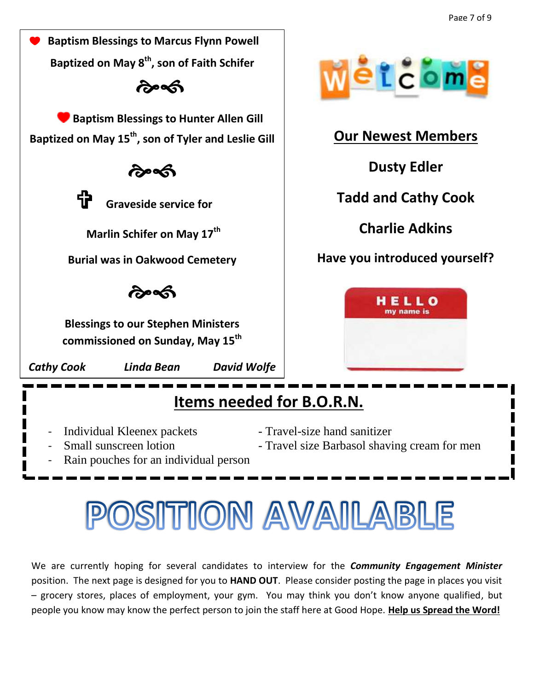

## **Items needed for B.O.R.N.**

- Individual Kleenex packets Travel-size hand sanitizer
- 
- 
- Small sunscreen lotion Travel size Barbasol shaving cream for men

**Dusty Edler**

 $2c$  om

**Charlie Adkins**

HELLO

Rain pouches for an individual person

# SITION AVAILABLE

We are currently hoping for several candidates to interview for the *Community Engagement Minister* position. The next page is designed for you to **HAND OUT**. Please consider posting the page in places you visit – grocery stores, places of employment, your gym. You may think you don't know anyone qualified, but people you know may know the perfect person to join the staff here at Good Hope. **Help us Spread the Word!**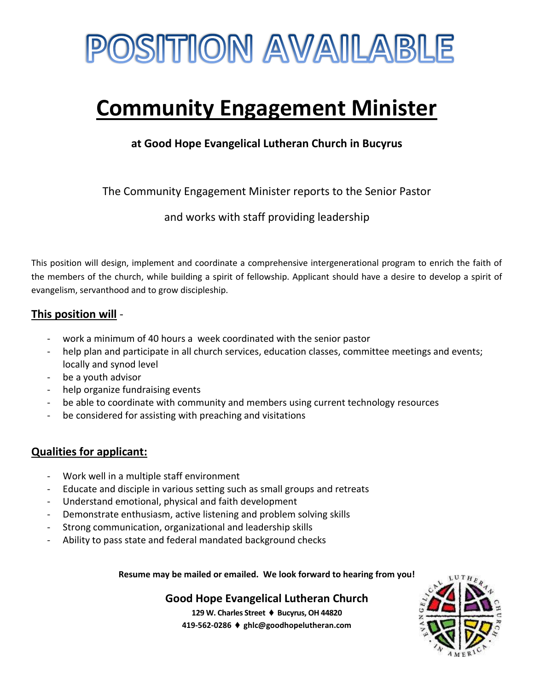

# **Community Engagement Minister**

**at Good Hope Evangelical Lutheran Church in Bucyrus**

The Community Engagement Minister reports to the Senior Pastor

and works with staff providing leadership

This position will design, implement and coordinate a comprehensive intergenerational program to enrich the faith of the members of the church, while building a spirit of fellowship. Applicant should have a desire to develop a spirit of evangelism, servanthood and to grow discipleship.

#### **This position will** -

- work a minimum of 40 hours a week coordinated with the senior pastor
- help plan and participate in all church services, education classes, committee meetings and events; locally and synod level
- be a youth advisor
- help organize fundraising events
- be able to coordinate with community and members using current technology resources
- be considered for assisting with preaching and visitations

#### **Qualities for applicant:**

- Work well in a multiple staff environment
- Educate and disciple in various setting such as small groups and retreats
- Understand emotional, physical and faith development
- Demonstrate enthusiasm, active listening and problem solving skills
- Strong communication, organizational and leadership skills
- Ability to pass state and federal mandated background checks

**Resume may be mailed or emailed. We look forward to hearing from you!**

**Good Hope Evangelical Lutheran Church**

**129 W. Charles Street Bucyrus, OH 44820 419-562-0286 ghlc@goodhopelutheran.com**